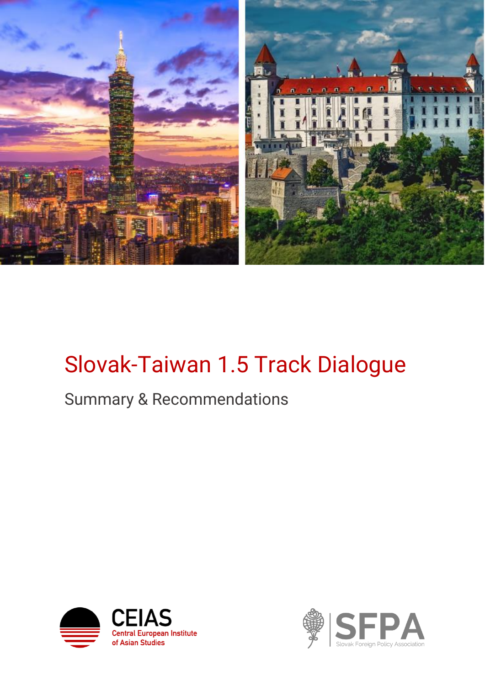

## Slovak-Taiwan 1.5 Track Dialogue

## Summary & Recommendations



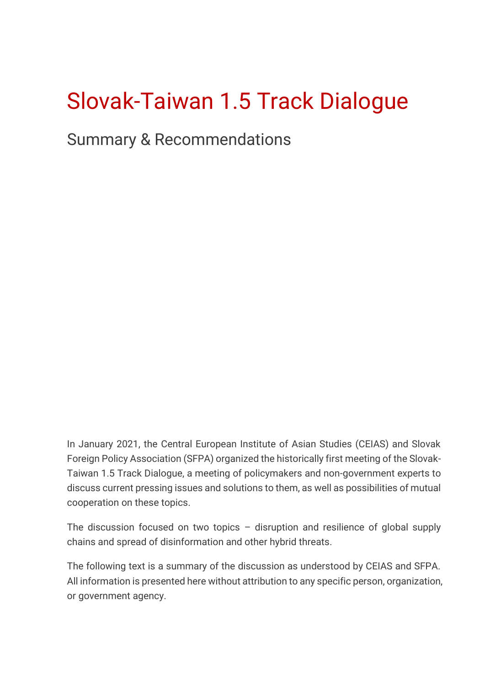# Slovak-Taiwan 1.5 Track Dialogue

Summary & Recommendations

In January 2021, the Central European Institute of Asian Studies (CEIAS) and Slovak Foreign Policy Association (SFPA) organized the historically first meeting of the Slovak-Taiwan 1.5 Track Dialogue, a meeting of policymakers and non-government experts to discuss current pressing issues and solutions to them, as well as possibilities of mutual cooperation on these topics.

The discussion focused on two topics – disruption and resilience of global supply chains and spread of disinformation and other hybrid threats.

The following text is a summary of the discussion as understood by CEIAS and SFPA. All information is presented here without attribution to any specific person, organization, or government agency.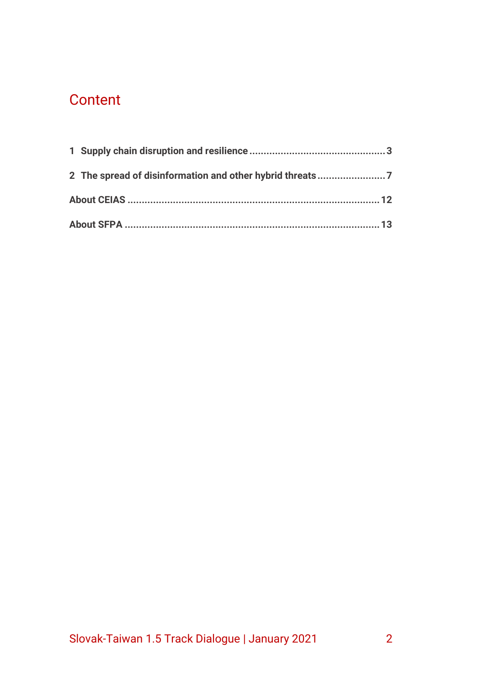## **Content**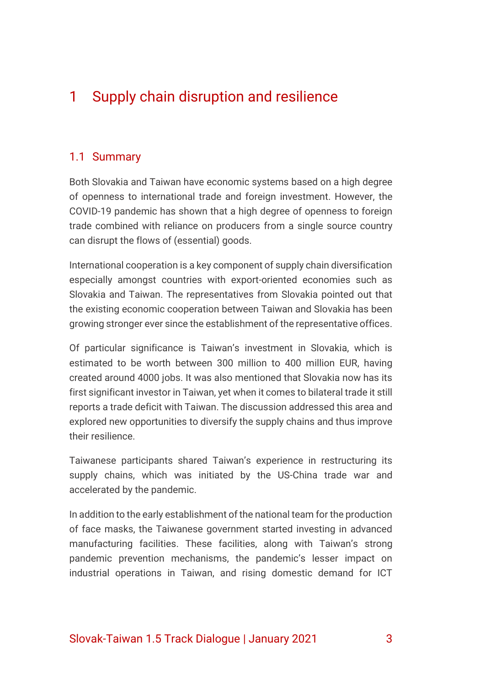## <span id="page-3-0"></span>1 Supply chain disruption and resilience

#### 1.1 Summary

Both Slovakia and Taiwan have economic systems based on a high degree of openness to international trade and foreign investment. However, the COVID-19 pandemic has shown that a high degree of openness to foreign trade combined with reliance on producers from a single source country can disrupt the flows of (essential) goods.

International cooperation is a key component of supply chain diversification especially amongst countries with export-oriented economies such as Slovakia and Taiwan. The representatives from Slovakia pointed out that the existing economic cooperation between Taiwan and Slovakia has been growing stronger ever since the establishment of the representative offices.

Of particular significance is Taiwan's investment in Slovakia, which is estimated to be worth between 300 million to 400 million EUR, having created around 4000 jobs. It was also mentioned that Slovakia now has its first significant investor in Taiwan, yet when it comes to bilateral trade it still reports a trade deficit with Taiwan. The discussion addressed this area and explored new opportunities to diversify the supply chains and thus improve their resilience.

Taiwanese participants shared Taiwan's experience in restructuring its supply chains, which was initiated by the US-China trade war and accelerated by the pandemic.

In addition to the early establishment of the national team for the production of face masks, the Taiwanese government started investing in advanced manufacturing facilities. These facilities, along with Taiwan's strong pandemic prevention mechanisms, the pandemic's lesser impact on industrial operations in Taiwan, and rising domestic demand for ICT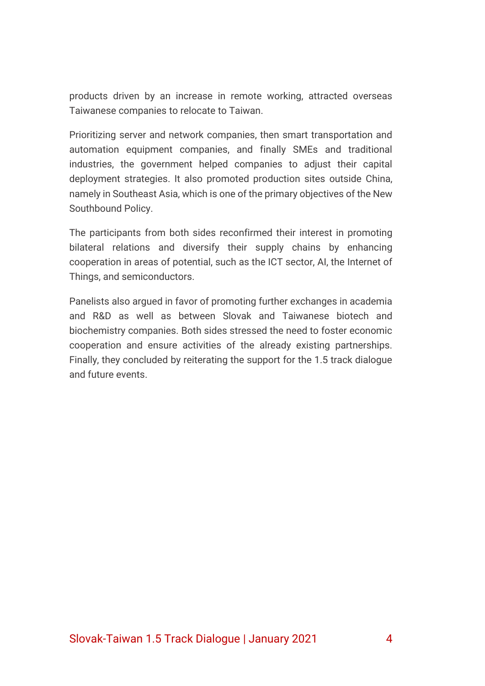products driven by an increase in remote working, attracted overseas Taiwanese companies to relocate to Taiwan.

Prioritizing server and network companies, then smart transportation and automation equipment companies, and finally SMEs and traditional industries, the government helped companies to adjust their capital deployment strategies. It also promoted production sites outside China, namely in Southeast Asia, which is one of the primary objectives of the New Southbound Policy.

The participants from both sides reconfirmed their interest in promoting bilateral relations and diversify their supply chains by enhancing cooperation in areas of potential, such as the ICT sector, AI, the Internet of Things, and semiconductors.

Panelists also argued in favor of promoting further exchanges in academia and R&D as well as between Slovak and Taiwanese biotech and biochemistry companies. Both sides stressed the need to foster economic cooperation and ensure activities of the already existing partnerships. Finally, they concluded by reiterating the support for the 1.5 track dialogue and future events.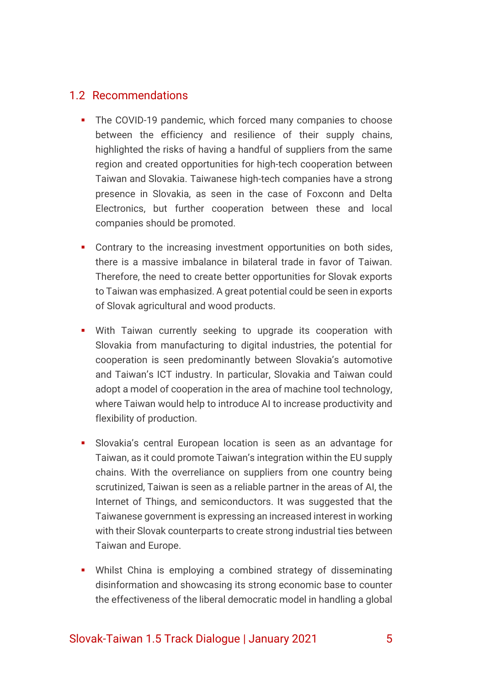#### 1.2 Recommendations

- The COVID-19 pandemic, which forced many companies to choose between the efficiency and resilience of their supply chains, highlighted the risks of having a handful of suppliers from the same region and created opportunities for high-tech cooperation between Taiwan and Slovakia. Taiwanese high-tech companies have a strong presence in Slovakia, as seen in the case of Foxconn and Delta Electronics, but further cooperation between these and local companies should be promoted.
- Contrary to the increasing investment opportunities on both sides, there is a massive imbalance in bilateral trade in favor of Taiwan. Therefore, the need to create better opportunities for Slovak exports to Taiwan was emphasized. A great potential could be seen in exports of Slovak agricultural and wood products.
- **.** With Taiwan currently seeking to upgrade its cooperation with Slovakia from manufacturing to digital industries, the potential for cooperation is seen predominantly between Slovakia's automotive and Taiwan's ICT industry. In particular, Slovakia and Taiwan could adopt a model of cooperation in the area of machine tool technology, where Taiwan would help to introduce AI to increase productivity and flexibility of production.
- **EXECT** Slovakia's central European location is seen as an advantage for Taiwan, as it could promote Taiwan's integration within the EU supply chains. With the overreliance on suppliers from one country being scrutinized, Taiwan is seen as a reliable partner in the areas of AI, the Internet of Things, and semiconductors. It was suggested that the Taiwanese government is expressing an increased interest in working with their Slovak counterparts to create strong industrial ties between Taiwan and Europe.
- **•** Whilst China is employing a combined strategy of disseminating disinformation and showcasing its strong economic base to counter the effectiveness of the liberal democratic model in handling a global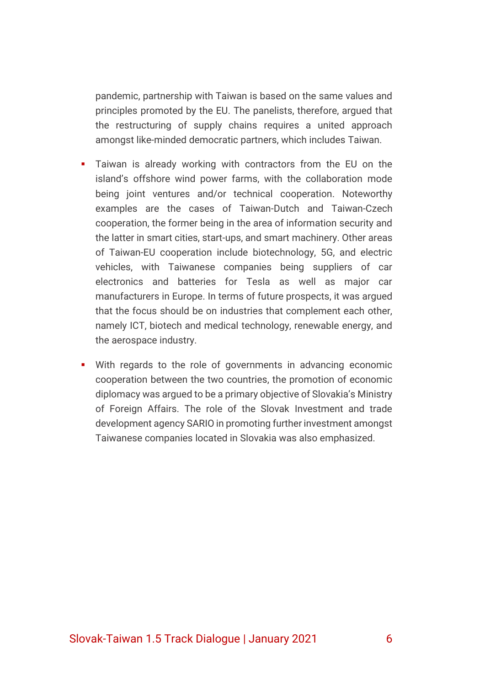pandemic, partnership with Taiwan is based on the same values and principles promoted by the EU. The panelists, therefore, argued that the restructuring of supply chains requires a united approach amongst like-minded democratic partners, which includes Taiwan.

- Taiwan is already working with contractors from the EU on the island's offshore wind power farms, with the collaboration mode being joint ventures and/or technical cooperation. Noteworthy examples are the cases of Taiwan-Dutch and Taiwan-Czech cooperation, the former being in the area of information security and the latter in smart cities, start-ups, and smart machinery. Other areas of Taiwan-EU cooperation include biotechnology, 5G, and electric vehicles, with Taiwanese companies being suppliers of car electronics and batteries for Tesla as well as major car manufacturers in Europe. In terms of future prospects, it was argued that the focus should be on industries that complement each other, namely ICT, biotech and medical technology, renewable energy, and the aerospace industry.
- With regards to the role of governments in advancing economic cooperation between the two countries, the promotion of economic diplomacy was argued to be a primary objective of Slovakia's Ministry of Foreign Affairs. The role of the Slovak Investment and trade development agency SARIO in promoting further investment amongst Taiwanese companies located in Slovakia was also emphasized.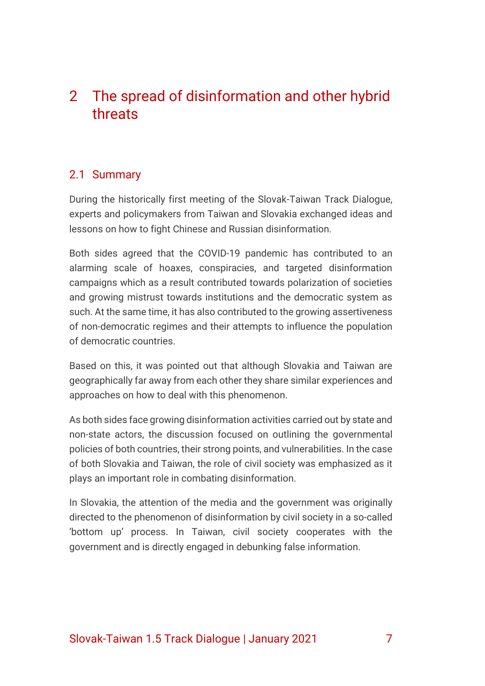### <span id="page-7-0"></span>2 The spread of disinformation and other hybrid threats

#### 2.1 Summary

During the historically first meeting of the Slovak-Taiwan Track Dialogue, experts and policymakers from Taiwan and Slovakia exchanged ideas and lessons on how to fight Chinese and Russian disinformation.

Both sides agreed that the COVID-19 pandemic has contributed to an alarming scale of hoaxes, conspiracies, and targeted disinformation campaigns which as a result contributed towards polarization of societies and growing mistrust towards institutions and the democratic system as such. At the same time, it has also contributed to the growing assertiveness of non-democratic regimes and their attempts to influence the population of democratic countries.

Based on this, it was pointed out that although Slovakia and Taiwan are geographically far away from each other they share similar experiences and approaches on how to deal with this phenomenon.

As both sides face growing disinformation activities carried out by state and non-state actors, the discussion focused on outlining the governmental policies of both countries, their strong points, and vulnerabilities. In the case of both Slovakia and Taiwan, the role of civil society was emphasized as it plays an important role in combating disinformation.

In Slovakia, the attention of the media and the government was originally directed to the phenomenon of disinformation by civil society in a so-called 'bottom up' process. In Taiwan, civil society cooperates with the government and is directly engaged in debunking false information.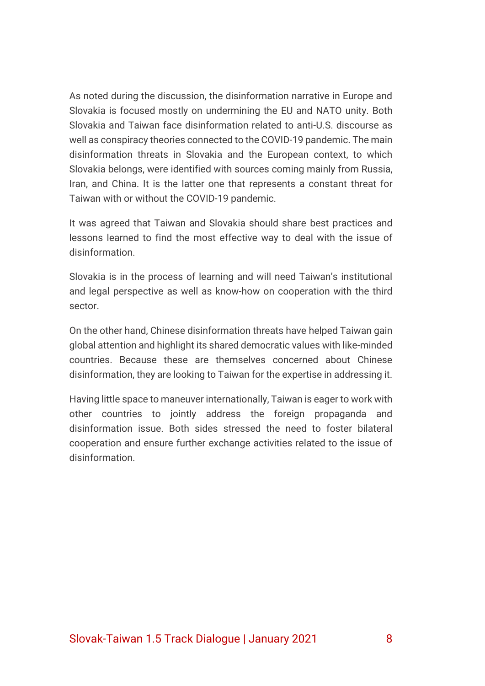As noted during the discussion, the disinformation narrative in Europe and Slovakia is focused mostly on undermining the EU and NATO unity. Both Slovakia and Taiwan face disinformation related to anti-U.S. discourse as well as conspiracy theories connected to the COVID-19 pandemic. The main disinformation threats in Slovakia and the European context, to which Slovakia belongs, were identified with sources coming mainly from Russia, Iran, and China. It is the latter one that represents a constant threat for Taiwan with or without the COVID-19 pandemic.

It was agreed that Taiwan and Slovakia should share best practices and lessons learned to find the most effective way to deal with the issue of disinformation.

Slovakia is in the process of learning and will need Taiwan's institutional and legal perspective as well as know-how on cooperation with the third sector.

On the other hand, Chinese disinformation threats have helped Taiwan gain global attention and highlight its shared democratic values with like-minded countries. Because these are themselves concerned about Chinese disinformation, they are looking to Taiwan for the expertise in addressing it.

Having little space to maneuver internationally, Taiwan is eager to work with other countries to jointly address the foreign propaganda and disinformation issue. Both sides stressed the need to foster bilateral cooperation and ensure further exchange activities related to the issue of disinformation.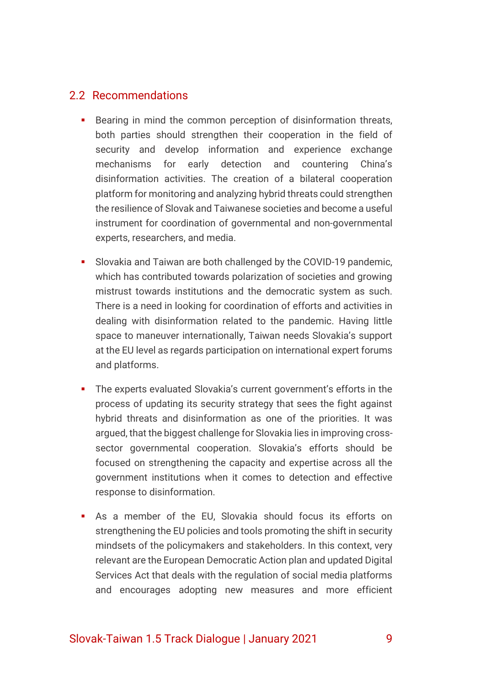#### 2.2 Recommendations

- Bearing in mind the common perception of disinformation threats, both parties should strengthen their cooperation in the field of security and develop information and experience exchange mechanisms for early detection and countering China's disinformation activities. The creation of a bilateral cooperation platform for monitoring and analyzing hybrid threats could strengthen the resilience of Slovak and Taiwanese societies and become a useful instrument for coordination of governmental and non-governmental experts, researchers, and media.
- **EXECT** Slovakia and Taiwan are both challenged by the COVID-19 pandemic, which has contributed towards polarization of societies and growing mistrust towards institutions and the democratic system as such. There is a need in looking for coordination of efforts and activities in dealing with disinformation related to the pandemic. Having little space to maneuver internationally, Taiwan needs Slovakia's support at the EU level as regards participation on international expert forums and platforms.
- The experts evaluated Slovakia's current government's efforts in the process of updating its security strategy that sees the fight against hybrid threats and disinformation as one of the priorities. It was argued, that the biggest challenge for Slovakia lies in improving crosssector governmental cooperation. Slovakia's efforts should be focused on strengthening the capacity and expertise across all the government institutions when it comes to detection and effective response to disinformation.
- **E** As a member of the EU, Slovakia should focus its efforts on strengthening the EU policies and tools promoting the shift in security mindsets of the policymakers and stakeholders. In this context, very relevant are the European Democratic Action plan and updated Digital Services Act that deals with the regulation of social media platforms and encourages adopting new measures and more efficient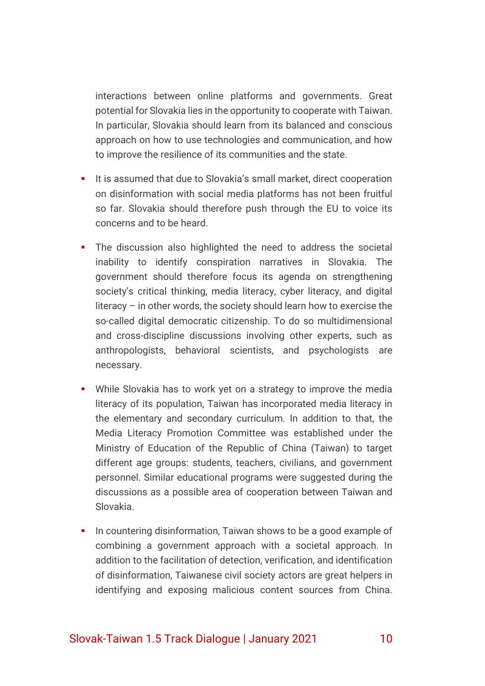interactions between online platforms and governments. Great potential for Slovakia lies in the opportunity to cooperate with Taiwan. In particular, Slovakia should learn from its balanced and conscious approach on how to use technologies and communication, and how to improve the resilience of its communities and the state.

- It is assumed that due to Slovakia's small market, direct cooperation on disinformation with social media platforms has not been fruitful so far. Slovakia should therefore push through the EU to voice its concerns and to be heard.
- **.** The discussion also highlighted the need to address the societal inability to identify conspiration narratives in Slovakia. The government should therefore focus its agenda on strengthening society's critical thinking, media literacy, cyber literacy, and digital literacy – in other words, the society should learn how to exercise the so-called digital democratic citizenship. To do so multidimensional and cross-discipline discussions involving other experts, such as anthropologists, behavioral scientists, and psychologists are necessary.
- While Slovakia has to work yet on a strategy to improve the media literacy of its population, Taiwan has incorporated media literacy in the elementary and secondary curriculum. In addition to that, the Media Literacy Promotion Committee was established under the Ministry of Education of the Republic of China (Taiwan) to target different age groups: students, teachers, civilians, and government personnel. Similar educational programs were suggested during the discussions as a possible area of cooperation between Taiwan and Slovakia.
- **•** In countering disinformation, Taiwan shows to be a good example of combining a government approach with a societal approach. In addition to the facilitation of detection, verification, and identification of disinformation, Taiwanese civil society actors are great helpers in identifying and exposing malicious content sources from China.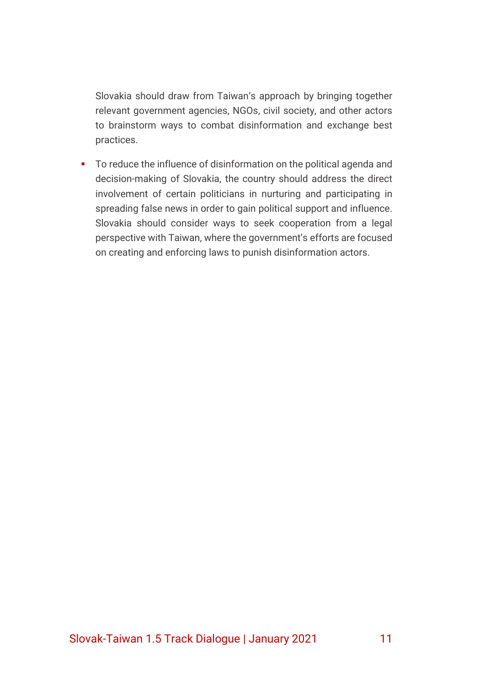Slovakia should draw from Taiwan's approach by bringing together relevant government agencies, NGOs, civil society, and other actors to brainstorm ways to combat disinformation and exchange best practices.

■ To reduce the influence of disinformation on the political agenda and decision-making of Slovakia, the country should address the direct involvement of certain politicians in nurturing and participating in spreading false news in order to gain political support and influence. Slovakia should consider ways to seek cooperation from a legal perspective with Taiwan, where the government's efforts are focused on creating and enforcing laws to punish disinformation actors.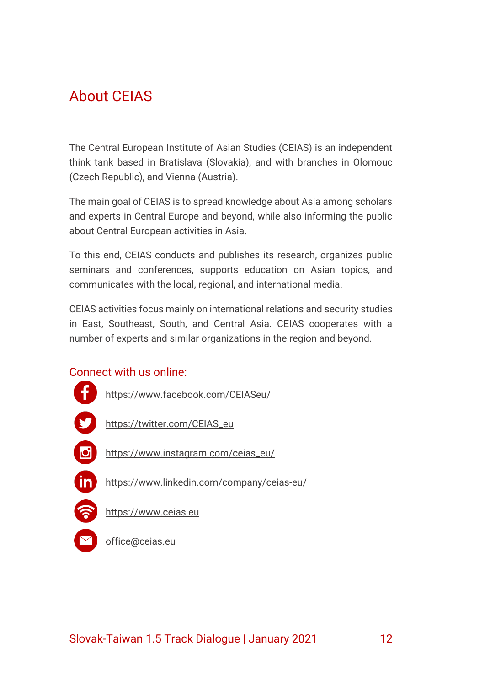## <span id="page-12-0"></span>About CEIAS

The Central European Institute of Asian Studies (CEIAS) is an independent think tank based in Bratislava (Slovakia), and with branches in Olomouc (Czech Republic), and Vienna (Austria).

The main goal of CEIAS is to spread knowledge about Asia among scholars and experts in Central Europe and beyond, while also informing the public about Central European activities in Asia.

To this end, CEIAS conducts and publishes its research, organizes public seminars and conferences, supports education on Asian topics, and communicates with the local, regional, and international media.

CEIAS activities focus mainly on international relations and security studies in East, Southeast, South, and Central Asia. CEIAS cooperates with a number of experts and similar organizations in the region and beyond.

### Connect with us online:



[office@ceias.eu](mailto:office@ceias.eu)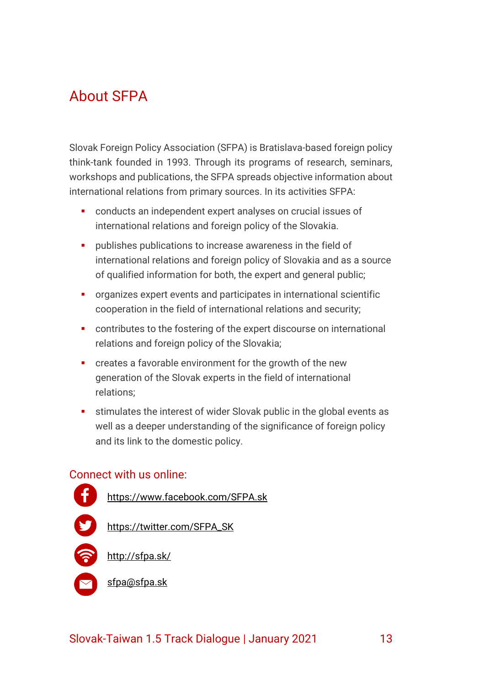## <span id="page-13-0"></span>About SFPA

Slovak Foreign Policy Association (SFPA) is Bratislava-based foreign policy think-tank founded in 1993. Through its programs of research, seminars, workshops and publications, the SFPA spreads objective information about international relations from primary sources. In its activities SFPA:

- conducts an independent expert analyses on crucial issues of international relations and foreign policy of the Slovakia.
- **•** publishes publications to increase awareness in the field of international relations and foreign policy of Slovakia and as a source of qualified information for both, the expert and general public;
- organizes expert events and participates in international scientific cooperation in the field of international relations and security;
- contributes to the fostering of the expert discourse on international relations and foreign policy of the Slovakia;
- creates a favorable environment for the growth of the new generation of the Slovak experts in the field of international relations;
- **EXECT** stimulates the interest of wider Slovak public in the global events as well as a deeper understanding of the significance of foreign policy and its link to the domestic policy.

#### Connect with us online: